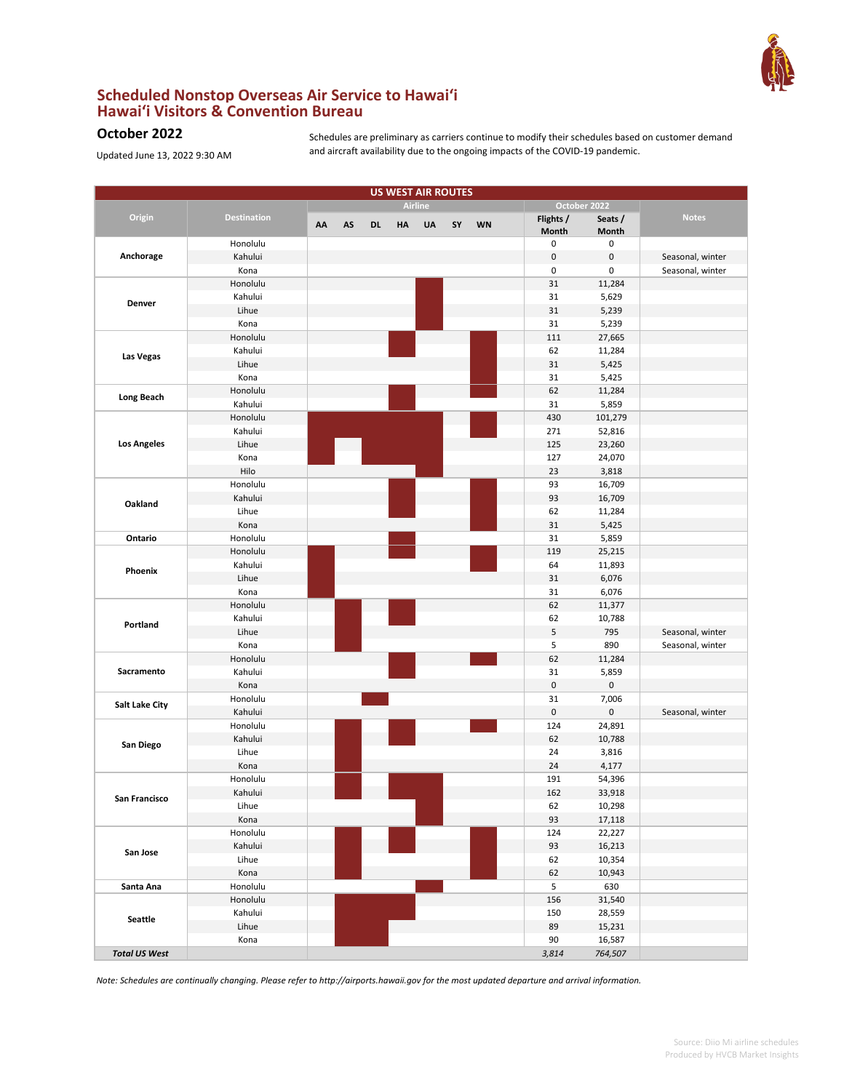

## **Scheduled Nonstop Overseas Air Service to Hawai'i Hawai'i Visitors & Convention Bureau**

## **October 2022**

Updated June 13, 2022 9:30 AM

Schedules are preliminary as carriers continue to modify their schedules based on customer demand and aircraft availability due to the ongoing impacts of the COVID-19 pandemic.

| <b>US WEST AIR ROUTES</b> |                    |    |    |           |           |                |    |           |           |              |                  |
|---------------------------|--------------------|----|----|-----------|-----------|----------------|----|-----------|-----------|--------------|------------------|
|                           |                    |    |    |           |           | <b>Airline</b> |    |           |           | October 2022 |                  |
| Origin                    | <b>Destination</b> |    |    |           |           | <b>UA</b>      |    | <b>WN</b> | Flights / | Seats /      | <b>Notes</b>     |
|                           |                    | AA | AS | <b>DL</b> | <b>HA</b> |                | SY |           | Month     | Month        |                  |
|                           | Honolulu           |    |    |           |           |                |    |           | 0         | 0            |                  |
| Anchorage                 | Kahului            |    |    |           |           |                |    |           | $\pmb{0}$ | 0            | Seasonal, winter |
|                           | Kona               |    |    |           |           |                |    |           | 0         | 0            | Seasonal, winter |
|                           | Honolulu           |    |    |           |           |                |    |           | 31        | 11,284       |                  |
| Denver                    | Kahului            |    |    |           |           |                |    |           | 31        | 5,629        |                  |
|                           | Lihue              |    |    |           |           |                |    |           | 31        | 5,239        |                  |
|                           | Kona               |    |    |           |           |                |    |           | 31        | 5,239        |                  |
|                           | Honolulu           |    |    |           |           |                |    |           | 111       | 27,665       |                  |
|                           | Kahului            |    |    |           |           |                |    |           | 62        | 11,284       |                  |
| Las Vegas                 | Lihue              |    |    |           |           |                |    |           | 31        | 5,425        |                  |
|                           | Kona               |    |    |           |           |                |    |           | 31        | 5,425        |                  |
|                           | Honolulu           |    |    |           |           |                |    |           | 62        | 11,284       |                  |
| <b>Long Beach</b>         | Kahului            |    |    |           |           |                |    |           | 31        | 5,859        |                  |
|                           | Honolulu           |    |    |           |           |                |    |           | 430       | 101,279      |                  |
|                           | Kahului            |    |    |           |           |                |    |           | 271       | 52,816       |                  |
| <b>Los Angeles</b>        | Lihue              |    |    |           |           |                |    |           | 125       | 23,260       |                  |
|                           | Kona               |    |    |           |           |                |    |           | 127       | 24,070       |                  |
|                           | Hilo               |    |    |           |           |                |    |           | 23        | 3,818        |                  |
|                           | Honolulu           |    |    |           |           |                |    |           | 93        | 16,709       |                  |
|                           | Kahului            |    |    |           |           |                |    |           | 93        | 16,709       |                  |
| Oakland                   | Lihue              |    |    |           |           |                |    |           | 62        | 11,284       |                  |
|                           | Kona               |    |    |           |           |                |    |           | 31        | 5,425        |                  |
| Ontario                   | Honolulu           |    |    |           |           |                |    |           | 31        | 5,859        |                  |
|                           | Honolulu           |    |    |           |           |                |    |           | 119       | 25,215       |                  |
|                           | Kahului            |    |    |           |           |                |    |           | 64        | 11,893       |                  |
| Phoenix                   | Lihue              |    |    |           |           |                |    |           | 31        | 6,076        |                  |
|                           | Kona               |    |    |           |           |                |    |           | 31        | 6,076        |                  |
|                           | Honolulu           |    |    |           |           |                |    |           | 62        | 11,377       |                  |
|                           | Kahului            |    |    |           |           |                |    |           | 62        | 10,788       |                  |
| Portland                  | Lihue              |    |    |           |           |                |    |           | 5         | 795          | Seasonal, winter |
|                           | Kona               |    |    |           |           |                |    |           | 5         | 890          | Seasonal, winter |
|                           | Honolulu           |    |    |           |           |                |    |           | 62        | 11,284       |                  |
| Sacramento                | Kahului            |    |    |           |           |                |    |           | 31        | 5,859        |                  |
|                           | Kona               |    |    |           |           |                |    |           | $\pmb{0}$ | 0            |                  |
|                           | Honolulu           |    |    |           |           |                |    |           | 31        | 7,006        |                  |
| Salt Lake City            | Kahului            |    |    |           |           |                |    |           | $\pmb{0}$ | 0            | Seasonal, winter |
|                           | Honolulu           |    |    |           |           |                |    |           | 124       | 24,891       |                  |
|                           | Kahului            |    |    |           |           |                |    |           | 62        | 10,788       |                  |
| San Diego                 | Lihue              |    |    |           |           |                |    |           | 24        | 3,816        |                  |
|                           | Kona               |    |    |           |           |                |    |           | 24        | 4,177        |                  |
|                           | Honolulu           |    |    |           |           |                |    |           | 191       | 54,396       |                  |
|                           | Kahului            |    |    |           |           |                |    |           | 162       | 33,918       |                  |
| San Francisco             | Lihue              |    |    |           |           |                |    |           | 62        | 10,298       |                  |
|                           | Kona               |    |    |           |           |                |    |           | 93        | 17,118       |                  |
|                           | Honolulu           |    |    |           |           |                |    |           | 124       | 22,227       |                  |
|                           | Kahului            |    |    |           |           |                |    |           | 93        | 16,213       |                  |
| San Jose                  | Lihue              |    |    |           |           |                |    |           | 62        | 10,354       |                  |
|                           | Kona               |    |    |           |           |                |    |           | 62        | 10,943       |                  |
| Santa Ana                 | Honolulu           |    |    |           |           |                |    |           | 5         | 630          |                  |
|                           | Honolulu           |    |    |           |           |                |    |           | 156       | 31,540       |                  |
|                           | Kahului            |    |    |           |           |                |    |           | 150       | 28,559       |                  |
| <b>Seattle</b>            | Lihue              |    |    |           |           |                |    |           | 89        | 15,231       |                  |
|                           | Kona               |    |    |           |           |                |    |           | 90        | 16,587       |                  |
| <b>Total US West</b>      |                    |    |    |           |           |                |    |           | 3,814     | 764,507      |                  |
|                           |                    |    |    |           |           |                |    |           |           |              |                  |

*Note: Schedules are continually changing. Please refer to http://airports.hawaii.gov for the most updated departure and arrival information.*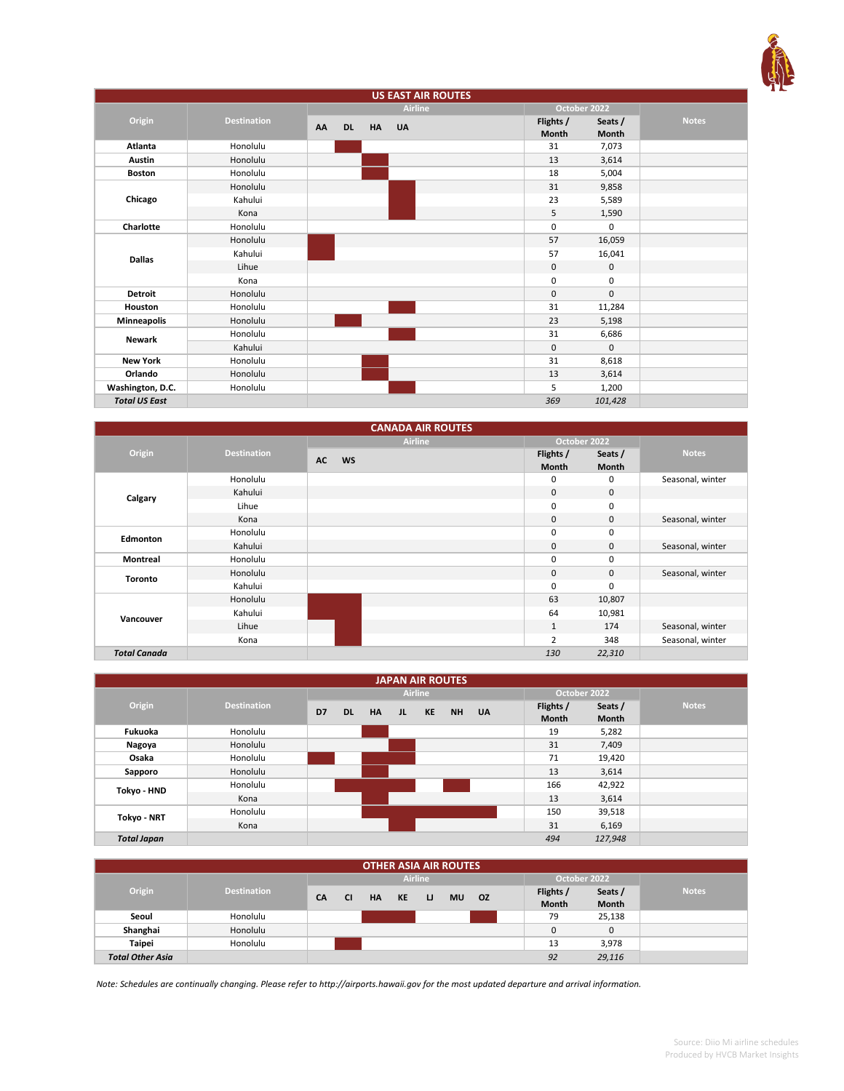

| <b>US EAST AIR ROUTES</b> |                    |                 |           |                |  |                    |                  |              |
|---------------------------|--------------------|-----------------|-----------|----------------|--|--------------------|------------------|--------------|
|                           |                    |                 |           | <b>Airline</b> |  |                    | October 2022     |              |
| Origin                    | <b>Destination</b> | AA<br><b>DL</b> | <b>HA</b> | <b>UA</b>      |  | Flights /<br>Month | Seats /<br>Month | <b>Notes</b> |
| Atlanta                   | Honolulu           |                 |           |                |  | 31                 | 7,073            |              |
| Austin                    | Honolulu           |                 |           |                |  | 13                 | 3,614            |              |
| <b>Boston</b>             | Honolulu           |                 |           |                |  | 18                 | 5,004            |              |
|                           | Honolulu           |                 |           |                |  | 31                 | 9,858            |              |
| Chicago                   | Kahului            |                 |           |                |  | 23                 | 5,589            |              |
|                           | Kona               |                 |           |                |  | 5                  | 1,590            |              |
| Charlotte                 | Honolulu           |                 |           |                |  | 0                  | 0                |              |
|                           | Honolulu           |                 |           |                |  | 57                 | 16,059           |              |
| <b>Dallas</b>             | Kahului            |                 |           |                |  | 57                 | 16,041           |              |
|                           | Lihue              |                 |           |                |  | 0                  | 0                |              |
|                           | Kona               |                 |           |                |  | $\mathbf 0$        | 0                |              |
| <b>Detroit</b>            | Honolulu           |                 |           |                |  | $\mathbf 0$        | $\mathbf{0}$     |              |
| Houston                   | Honolulu           |                 |           |                |  | 31                 | 11,284           |              |
| <b>Minneapolis</b>        | Honolulu           |                 |           |                |  | 23                 | 5,198            |              |
| Newark                    | Honolulu           |                 |           |                |  | 31                 | 6,686            |              |
|                           | Kahului            |                 |           |                |  | 0                  | $\mathbf{0}$     |              |
| <b>New York</b>           | Honolulu           |                 |           |                |  | 31                 | 8,618            |              |
| Orlando                   | Honolulu           |                 |           |                |  | 13                 | 3,614            |              |
| Washington, D.C.          | Honolulu           |                 |           |                |  | 5                  | 1,200            |              |
| <b>Total US East</b>      |                    |                 |           |                |  | 369                | 101,428          |              |

| <b>CANADA AIR ROUTES</b>     |          |                        |                    |                         |                  |  |  |  |
|------------------------------|----------|------------------------|--------------------|-------------------------|------------------|--|--|--|
|                              |          | <b>Airline</b>         | October 2022       |                         |                  |  |  |  |
| Origin<br><b>Destination</b> |          | <b>AC</b><br><b>WS</b> | Flights /<br>Month | Seats /<br><b>Month</b> | <b>Notes</b>     |  |  |  |
|                              | Honolulu |                        | 0                  | 0                       | Seasonal, winter |  |  |  |
| Calgary                      | Kahului  |                        | $\mathbf{0}$       | $\mathbf{0}$            |                  |  |  |  |
|                              | Lihue    |                        | $\mathbf 0$        | 0                       |                  |  |  |  |
|                              | Kona     |                        | $\mathbf 0$        | 0                       | Seasonal, winter |  |  |  |
| Edmonton                     | Honolulu |                        | 0                  | 0                       |                  |  |  |  |
|                              | Kahului  |                        | $\mathbf 0$        | 0                       | Seasonal, winter |  |  |  |
| <b>Montreal</b>              | Honolulu |                        | 0                  | 0                       |                  |  |  |  |
| <b>Toronto</b>               | Honolulu |                        | $\mathbf 0$        | $\mathbf 0$             | Seasonal, winter |  |  |  |
|                              | Kahului  |                        | $\mathbf 0$        | 0                       |                  |  |  |  |
|                              | Honolulu |                        | 63                 | 10,807                  |                  |  |  |  |
| Vancouver                    | Kahului  |                        | 64                 | 10,981                  |                  |  |  |  |
|                              | Lihue    |                        | $1\,$              | 174                     | Seasonal, winter |  |  |  |
|                              | Kona     |                        | 2                  | 348                     | Seasonal, winter |  |  |  |
| <b>Total Canada</b>          |          |                        | 130                | 22,310                  |                  |  |  |  |

| <b>JAPAN AIR ROUTES</b> |                    |    |           |           |    |                |       |  |              |              |              |
|-------------------------|--------------------|----|-----------|-----------|----|----------------|-------|--|--------------|--------------|--------------|
|                         |                    |    |           |           |    | <b>Airline</b> |       |  |              | October 2022 |              |
| Origin                  | <b>Destination</b> | D7 | <b>DL</b> | <b>HA</b> | JL | KE             | NH UA |  | Flights /    | Seats /      | <b>Notes</b> |
|                         |                    |    |           |           |    |                |       |  | <b>Month</b> | <b>Month</b> |              |
| Fukuoka                 | Honolulu           |    |           |           |    |                |       |  | 19           | 5,282        |              |
| Nagoya                  | Honolulu           |    |           |           |    |                |       |  | 31           | 7,409        |              |
| Osaka                   | Honolulu           |    |           |           |    |                |       |  | 71           | 19,420       |              |
| Sapporo                 | Honolulu           |    |           |           |    |                |       |  | 13           | 3,614        |              |
| Tokyo - HND             | Honolulu           |    |           |           |    |                |       |  | 166          | 42,922       |              |
|                         | Kona               |    |           |           |    |                |       |  | 13           | 3,614        |              |
| Tokyo - NRT             | Honolulu           |    |           |           |    |                |       |  | 150          | 39,518       |              |
|                         | Kona               |    |           |           |    |                |       |  | 31           | 6,169        |              |
| <b>Total Japan</b>      |                    |    |           |           |    |                |       |  | 494          | 127,948      |              |

| <b>OTHER ASIA AIR ROUTES</b> |                    |           |           |           |    |                |           |     |              |                    |                  |              |
|------------------------------|--------------------|-----------|-----------|-----------|----|----------------|-----------|-----|--------------|--------------------|------------------|--------------|
|                              |                    |           |           |           |    | <b>Airline</b> |           |     | October 2022 |                    |                  |              |
| Origin                       | <b>Destination</b> | <b>CA</b> | <b>CI</b> | <b>HA</b> | KE | IJ             | <b>MU</b> | OZ. |              | Flights /<br>Month | Seats /<br>Month | <b>Notes</b> |
|                              |                    |           |           |           |    |                |           |     |              |                    |                  |              |
| Seoul                        | Honolulu           |           |           |           |    |                |           |     |              | 79                 | 25,138           |              |
| Shanghai                     | Honolulu           |           |           |           |    |                |           |     |              | 0                  | 0                |              |
| <b>Taipei</b>                | Honolulu           |           |           |           |    |                |           |     |              | 13                 | 3,978            |              |
| <b>Total Other Asia</b>      |                    |           |           |           |    |                |           |     |              | 92                 | 29,116           |              |

*Note: Schedules are continually changing. Please refer to http://airports.hawaii.gov for the most updated departure and arrival information.*